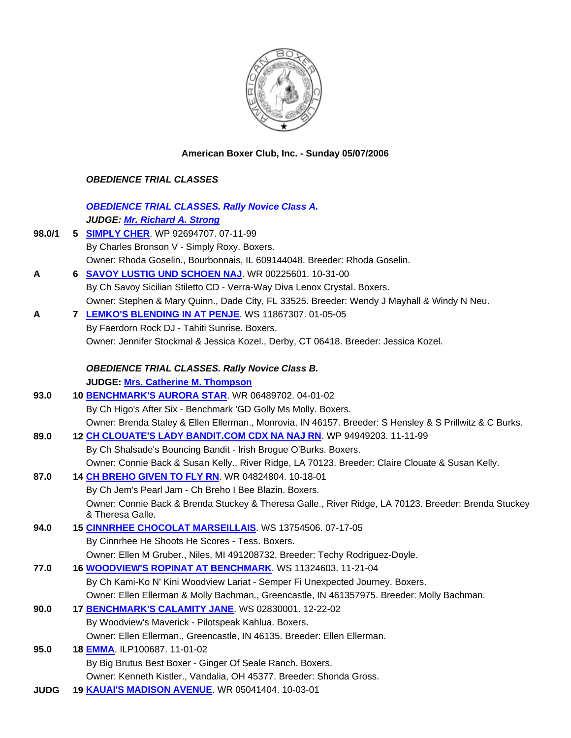

**American Boxer Club, Inc. - Sunday 05/07/2006** 

## *OBEDIENCE TRIAL CLASSES*

|             | <b>OBEDIENCE TRIAL CLASSES. Rally Novice Class A.</b>                                                                    |
|-------------|--------------------------------------------------------------------------------------------------------------------------|
|             | <b>JUDGE: Mr. Richard A. Strong</b>                                                                                      |
| 98.0/1      | 5 SIMPLY CHER. WP 92694707. 07-11-99                                                                                     |
|             | By Charles Bronson V - Simply Roxy. Boxers.                                                                              |
|             | Owner: Rhoda Goselin., Bourbonnais, IL 609144048. Breeder: Rhoda Goselin.                                                |
| A           | 6 SAVOY LUSTIG UND SCHOEN NAJ. WR 00225601. 10-31-00                                                                     |
|             | By Ch Savoy Sicilian Stiletto CD - Verra-Way Diva Lenox Crystal. Boxers.                                                 |
|             | Owner: Stephen & Mary Quinn., Dade City, FL 33525. Breeder: Wendy J Mayhall & Windy N Neu.                               |
| A           | <b>7 LEMKO'S BLENDING IN AT PENJE. WS 11867307. 01-05-05</b>                                                             |
|             | By Faerdorn Rock DJ - Tahiti Sunrise. Boxers.                                                                            |
|             | Owner: Jennifer Stockmal & Jessica Kozel., Derby, CT 06418. Breeder: Jessica Kozel.                                      |
|             | <b>OBEDIENCE TRIAL CLASSES. Rally Novice Class B.</b>                                                                    |
|             | JUDGE: Mrs. Catherine M. Thompson                                                                                        |
| 93.0        | 10 BENCHMARK'S AURORA STAR. WR 06489702. 04-01-02                                                                        |
|             | By Ch Higo's After Six - Benchmark 'GD Golly Ms Molly. Boxers.                                                           |
|             | Owner: Brenda Staley & Ellen Ellerman., Monrovia, IN 46157. Breeder: S Hensley & S Prillwitz & C Burks.                  |
| 89.0        | 12 CH CLOUATE'S LADY BANDIT.COM CDX NA NAJ RN. WP 94949203. 11-11-99                                                     |
|             | By Ch Shalsade's Bouncing Bandit - Irish Brogue O'Burks. Boxers.                                                         |
|             | Owner: Connie Back & Susan Kelly., River Ridge, LA 70123. Breeder: Claire Clouate & Susan Kelly.                         |
| 87.0        | 14 CH BREHO GIVEN TO FLY RN. WR 04824804. 10-18-01                                                                       |
|             | By Ch Jem's Pearl Jam - Ch Breho I Bee Blazin. Boxers.                                                                   |
|             | Owner: Connie Back & Brenda Stuckey & Theresa Galle., River Ridge, LA 70123. Breeder: Brenda Stuckey<br>& Theresa Galle. |
| 94.0        | 15 CINNRHEE CHOCOLAT MARSEILLAIS. WS 13754506. 07-17-05                                                                  |
|             | By Cinnrhee He Shoots He Scores - Tess. Boxers.                                                                          |
|             | Owner: Ellen M Gruber., Niles, MI 491208732. Breeder: Techy Rodriguez-Doyle.                                             |
| 77.0        | 16 <b>WOODVIEW'S ROPINAT AT BENCHMARK.</b> WS 11324603. 11-21-04                                                         |
|             | By Ch Kami-Ko N' Kini Woodview Lariat - Semper Fi Unexpected Journey. Boxers.                                            |
|             | Owner: Ellen Ellerman & Molly Bachman., Greencastle, IN 461357975. Breeder: Molly Bachman.                               |
| 90.0        | 17 BENCHMARK'S CALAMITY JANE. WS 02830001. 12-22-02                                                                      |
|             | By Woodview's Maverick - Pilotspeak Kahlua. Boxers.                                                                      |
|             | Owner: Ellen Ellerman., Greencastle, IN 46135. Breeder: Ellen Ellerman.                                                  |
| 95.0        | 18 EMMA. ILP100687. 11-01-02                                                                                             |
|             | By Big Brutus Best Boxer - Ginger Of Seale Ranch. Boxers.                                                                |
|             | Owner: Kenneth Kistler., Vandalia, OH 45377. Breeder: Shonda Gross.                                                      |
| <b>JUDG</b> | 19 KAUAI'S MADISON AVENUE. WR 05041404. 10-03-01                                                                         |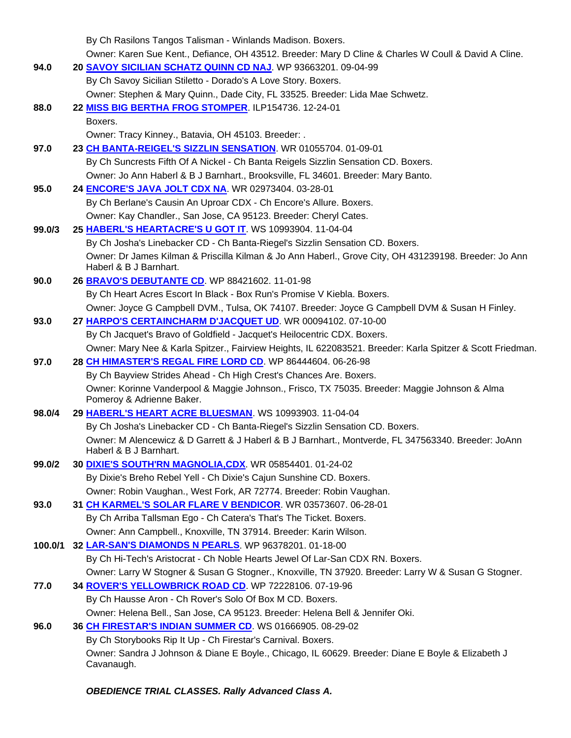|         | By Ch Rasilons Tangos Talisman - Winlands Madison. Boxers.                                                                       |
|---------|----------------------------------------------------------------------------------------------------------------------------------|
|         | Owner: Karen Sue Kent., Defiance, OH 43512. Breeder: Mary D Cline & Charles W Coull & David A Cline.                             |
| 94.0    | 20 SAVOY SICILIAN SCHATZ QUINN CD NAJ. WP 93663201.09-04-99                                                                      |
|         | By Ch Savoy Sicilian Stiletto - Dorado's A Love Story. Boxers.                                                                   |
|         | Owner: Stephen & Mary Quinn., Dade City, FL 33525. Breeder: Lida Mae Schwetz.                                                    |
| 88.0    | 22 MISS BIG BERTHA FROG STOMPER. ILP154736. 12-24-01                                                                             |
|         | Boxers.                                                                                                                          |
|         | Owner: Tracy Kinney., Batavia, OH 45103. Breeder: .                                                                              |
| 97.0    | 23 CH BANTA-REIGEL'S SIZZLIN SENSATION. WR 01055704. 01-09-01                                                                    |
|         | By Ch Suncrests Fifth Of A Nickel - Ch Banta Reigels Sizzlin Sensation CD. Boxers.                                               |
|         | Owner: Jo Ann Haberl & B J Barnhart., Brooksville, FL 34601. Breeder: Mary Banto.                                                |
| 95.0    | 24 <b>ENCORE'S JAVA JOLT CDX NA</b> . WR 02973404. 03-28-01                                                                      |
|         | By Ch Berlane's Causin An Uproar CDX - Ch Encore's Allure. Boxers.                                                               |
|         | Owner: Kay Chandler., San Jose, CA 95123. Breeder: Cheryl Cates.                                                                 |
| 99.0/3  | 25 HABERL'S HEARTACRE'S U GOT IT. WS 10993904. 11-04-04                                                                          |
|         | By Ch Josha's Linebacker CD - Ch Banta-Riegel's Sizzlin Sensation CD. Boxers.                                                    |
|         | Owner: Dr James Kilman & Priscilla Kilman & Jo Ann Haberl., Grove City, OH 431239198. Breeder: Jo Ann                            |
|         | Haberl & B J Barnhart.                                                                                                           |
| 90.0    | 26 BRAVO'S DEBUTANTE CD. WP 88421602. 11-01-98                                                                                   |
|         | By Ch Heart Acres Escort In Black - Box Run's Promise V Kiebla. Boxers.                                                          |
|         | Owner: Joyce G Campbell DVM., Tulsa, OK 74107. Breeder: Joyce G Campbell DVM & Susan H Finley.                                   |
| 93.0    | 27 HARPO'S CERTAINCHARM D'JACQUET UD. WR 00094102. 07-10-00                                                                      |
|         | By Ch Jacquet's Bravo of Goldfield - Jacquet's Heilocentric CDX. Boxers.                                                         |
|         | Owner: Mary Nee & Karla Spitzer., Fairview Heights, IL 622083521. Breeder: Karla Spitzer & Scott Friedman.                       |
| 97.0    | 28 CH HIMASTER'S REGAL FIRE LORD CD. WP 86444604. 06-26-98<br>By Ch Bayview Strides Ahead - Ch High Crest's Chances Are. Boxers. |
|         | Owner: Korinne Vanderpool & Maggie Johnson., Frisco, TX 75035. Breeder: Maggie Johnson & Alma                                    |
|         | Pomeroy & Adrienne Baker.                                                                                                        |
| 98.0/4  | 29 HABERL'S HEART ACRE BLUESMAN. WS 10993903. 11-04-04                                                                           |
|         | By Ch Josha's Linebacker CD - Ch Banta-Riegel's Sizzlin Sensation CD. Boxers.                                                    |
|         | Owner: M Alencewicz & D Garrett & J Haberl & B J Barnhart., Montverde, FL 347563340. Breeder: JoAnn                              |
|         | Haberl & B J Barnhart.                                                                                                           |
| 99.0/2  | 30 DIXIE'S SOUTH'RN MAGNOLIA, CDX. WR 05854401. 01-24-02                                                                         |
|         | By Dixie's Breho Rebel Yell - Ch Dixie's Cajun Sunshine CD. Boxers.                                                              |
|         | Owner: Robin Vaughan., West Fork, AR 72774. Breeder: Robin Vaughan.                                                              |
| 93.0    | 31 CH KARMEL'S SOLAR FLARE V BENDICOR. WR 03573607. 06-28-01                                                                     |
|         | By Ch Arriba Tallsman Ego - Ch Catera's That's The Ticket. Boxers.                                                               |
|         | Owner: Ann Campbell., Knoxville, TN 37914. Breeder: Karin Wilson.<br>32 LAR-SAN'S DIAMONDS N PEARLS. WP 96378201. 01-18-00       |
| 100.0/1 | By Ch Hi-Tech's Aristocrat - Ch Noble Hearts Jewel Of Lar-San CDX RN. Boxers.                                                    |
|         | Owner: Larry W Stogner & Susan G Stogner., Knoxville, TN 37920. Breeder: Larry W & Susan G Stogner.                              |
| 77.0    | 34 ROVER'S YELLOWBRICK ROAD CD. WP 72228106. 07-19-96                                                                            |
|         | By Ch Hausse Aron - Ch Rover's Solo Of Box M CD. Boxers.                                                                         |
|         | Owner: Helena Bell., San Jose, CA 95123. Breeder: Helena Bell & Jennifer Oki.                                                    |
| 96.0    | 36 CH FIRESTAR'S INDIAN SUMMER CD. WS 01666905. 08-29-02                                                                         |
|         | By Ch Storybooks Rip It Up - Ch Firestar's Carnival. Boxers.                                                                     |
|         | Owner: Sandra J Johnson & Diane E Boyle., Chicago, IL 60629. Breeder: Diane E Boyle & Elizabeth J                                |
|         | Cavanaugh.                                                                                                                       |

*OBEDIENCE TRIAL CLASSES. Rally Advanced Class A.*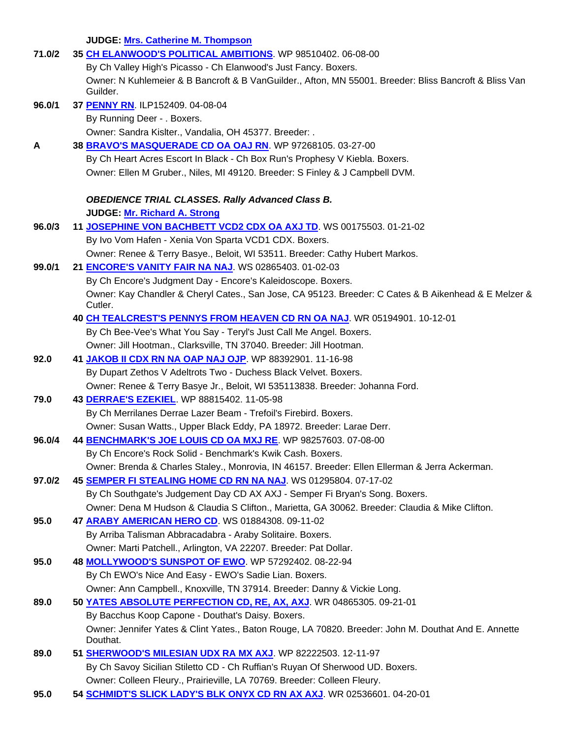**JUDGE: Mrs. Catherine M. Thompson** 

| 71.0/2 | 35 CH ELANWOOD'S POLITICAL AMBITIONS WP 98510402.06-08-00                                                          |
|--------|--------------------------------------------------------------------------------------------------------------------|
|        | By Ch Valley High's Picasso - Ch Elanwood's Just Fancy. Boxers.                                                    |
|        | Owner: N Kuhlemeier & B Bancroft & B VanGuilder., Afton, MN 55001. Breeder: Bliss Bancroft & Bliss Van<br>Guilder. |
| 96.0/1 | 37 PENNY RN. ILP152409. 04-08-04                                                                                   |
|        | By Running Deer - . Boxers.                                                                                        |
|        | Owner: Sandra Kislter., Vandalia, OH 45377. Breeder: .                                                             |
| A      | 38 BRAVO'S MASQUERADE CD OA OAJ RN. WP 97268105. 03-27-00                                                          |
|        | By Ch Heart Acres Escort In Black - Ch Box Run's Prophesy V Kiebla. Boxers.                                        |
|        | Owner: Ellen M Gruber., Niles, MI 49120. Breeder: S Finley & J Campbell DVM.                                       |
|        | <b>OBEDIENCE TRIAL CLASSES. Rally Advanced Class B.</b>                                                            |
|        | JUDGE: Mr. Richard A. Strong                                                                                       |
| 96.0/3 | 11 JOSEPHINE VON BACHBETT VCD2 CDX OA AXJ TD. WS 00175503. 01-21-02                                                |
|        | By Ivo Vom Hafen - Xenia Von Sparta VCD1 CDX. Boxers.                                                              |
|        | Owner: Renee & Terry Basye., Beloit, WI 53511. Breeder: Cathy Hubert Markos.                                       |
| 99.0/1 | 21 <b>ENCORE'S VANITY FAIR NA NAJ.</b> WS 02865403. 01-02-03                                                       |
|        | By Ch Encore's Judgment Day - Encore's Kaleidoscope. Boxers.                                                       |
|        | Owner: Kay Chandler & Cheryl Cates., San Jose, CA 95123. Breeder: C Cates & B Aikenhead & E Melzer &<br>Cutler.    |
|        | 40 CH TEALCREST'S PENNYS FROM HEAVEN CD RN OA NAJ. WR 05194901. 10-12-01                                           |
|        | By Ch Bee-Vee's What You Say - Teryl's Just Call Me Angel. Boxers.                                                 |
|        | Owner: Jill Hootman., Clarksville, TN 37040. Breeder: Jill Hootman.                                                |
| 92.0   | 41 JAKOB II CDX RN NA OAP NAJ OJP. WP 88392901. 11-16-98                                                           |
|        | By Dupart Zethos V Adeltrots Two - Duchess Black Velvet. Boxers.                                                   |
|        | Owner: Renee & Terry Basye Jr., Beloit, WI 535113838. Breeder: Johanna Ford.                                       |
| 79.0   | 43 DERRAE'S EZEKIEL. WP 88815402. 11-05-98                                                                         |
|        | By Ch Merrilanes Derrae Lazer Beam - Trefoil's Firebird. Boxers.                                                   |
|        | Owner: Susan Watts., Upper Black Eddy, PA 18972. Breeder: Larae Derr.                                              |
| 96.0/4 | 44 BENCHMARK'S JOE LOUIS CD OA MXJ RE. WP 98257603. 07-08-00                                                       |
|        | By Ch Encore's Rock Solid - Benchmark's Kwik Cash. Boxers.                                                         |
|        | Owner: Brenda & Charles Staley., Monrovia, IN 46157. Breeder: Ellen Ellerman & Jerra Ackerman.                     |
| 97.0/2 | 45 SEMPER FI STEALING HOME CD RN NA NAJ. WS 01295804. 07-17-02                                                     |
|        | By Ch Southgate's Judgement Day CD AX AXJ - Semper Fi Bryan's Song. Boxers.                                        |
|        | Owner: Dena M Hudson & Claudia S Clifton., Marietta, GA 30062. Breeder: Claudia & Mike Clifton.                    |
| 95.0   | 47 ARABY AMERICAN HERO CD. WS 01884308. 09-11-02                                                                   |
|        | By Arriba Talisman Abbracadabra - Araby Solitaire. Boxers.                                                         |
|        | Owner: Marti Patchell., Arlington, VA 22207. Breeder: Pat Dollar.                                                  |
| 95.0   | 48 MOLLYWOOD'S SUNSPOT OF EWO. WP 57292402. 08-22-94                                                               |
|        | By Ch EWO's Nice And Easy - EWO's Sadie Lian. Boxers.                                                              |
|        | Owner: Ann Campbell., Knoxville, TN 37914. Breeder: Danny & Vickie Long.                                           |
| 89.0   | 50 YATES ABSOLUTE PERFECTION CD, RE, AX, AXJ. WR 04865305. 09-21-01                                                |
|        | By Bacchus Koop Capone - Douthat's Daisy. Boxers.                                                                  |
|        | Owner: Jennifer Yates & Clint Yates., Baton Rouge, LA 70820. Breeder: John M. Douthat And E. Annette<br>Douthat.   |
| 89.0   | 51 SHERWOOD'S MILESIAN UDX RA MX AXJ WP 82222503. 12-11-97                                                         |
|        | By Ch Savoy Sicilian Stiletto CD - Ch Ruffian's Ruyan Of Sherwood UD. Boxers.                                      |
|        | Owner: Colleen Fleury., Prairieville, LA 70769. Breeder: Colleen Fleury.                                           |
| 95.0   | 54 SCHMIDT'S SLICK LADY'S BLK ONYX CD RN AX AXJ. WR 02536601. 04-20-01                                             |